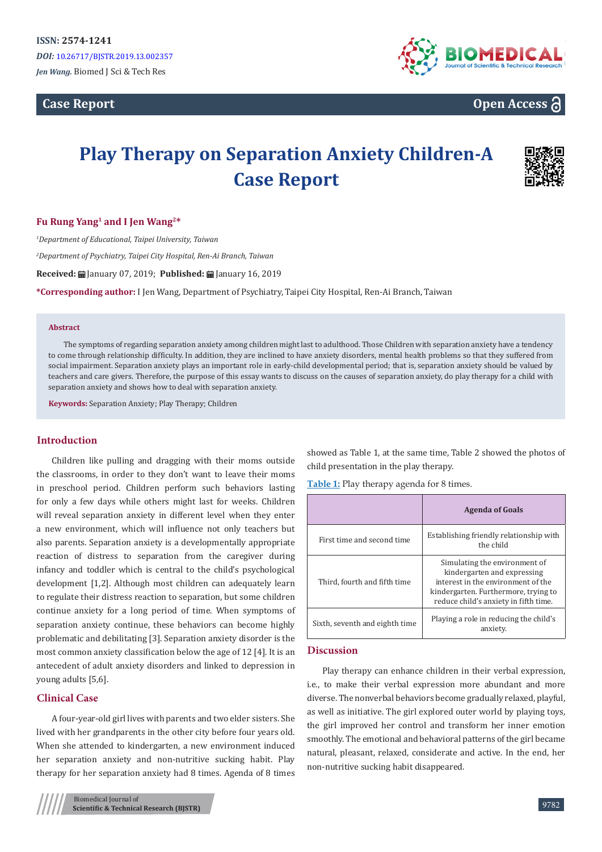**Case Report** 



# **Open Access**

# **Play Therapy on Separation Anxiety Children-A Case Report**



#### **Fu Rung Yang1 and I Jen Wang2\***

*1 Department of Educational, Taipei University, Taiwan*

*2 Department of Psychiatry, Taipei City Hospital, Ren-Ai Branch, Taiwan*

**Received:** January 07, 2019; **Published:** January 16, 2019

**\*Corresponding author:** I Jen Wang, Department of Psychiatry, Taipei City Hospital, Ren-Ai Branch, Taiwan

#### **Abstract**

The symptoms of regarding separation anxiety among children might last to adulthood. Those Children with separation anxiety have a tendency to come through relationship difficulty. In addition, they are inclined to have anxiety disorders, mental health problems so that they suffered from social impairment. Separation anxiety plays an important role in early-child developmental period; that is, separation anxiety should be valued by teachers and care givers. Therefore, the purpose of this essay wants to discuss on the causes of separation anxiety, do play therapy for a child with separation anxiety and shows how to deal with separation anxiety.

**Keywords:** Separation Anxiety; Play Therapy; Children

#### **Introduction**

Children like pulling and dragging with their moms outside the classrooms, in order to they don't want to leave their moms in preschool period. Children perform such behaviors lasting for only a few days while others might last for weeks. Children will reveal separation anxiety in different level when they enter a new environment, which will influence not only teachers but also parents. Separation anxiety is a developmentally appropriate reaction of distress to separation from the caregiver during infancy and toddler which is central to the child's psychological development [1,2]. Although most children can adequately learn to regulate their distress reaction to separation, but some children continue anxiety for a long period of time. When symptoms of separation anxiety continue, these behaviors can become highly problematic and debilitating [3]. Separation anxiety disorder is the most common anxiety classification below the age of 12 [4]. It is an antecedent of adult anxiety disorders and linked to depression in young adults [5,6].

#### **Clinical Case**

A four-year-old girl lives with parents and two elder sisters. She lived with her grandparents in the other city before four years old. When she attended to kindergarten, a new environment induced her separation anxiety and non-nutritive sucking habit. Play therapy for her separation anxiety had 8 times. Agenda of 8 times

showed as Table 1, at the same time, Table 2 showed the photos of child presentation in the play therapy.

**Table 1:** Play therapy agenda for 8 times.

|                                | <b>Agenda of Goals</b>                                                                                                                                                              |
|--------------------------------|-------------------------------------------------------------------------------------------------------------------------------------------------------------------------------------|
| First time and second time     | Establishing friendly relationship with<br>the child                                                                                                                                |
| Third, fourth and fifth time   | Simulating the environment of<br>kindergarten and expressing<br>interest in the environment of the<br>kindergarten. Furthermore, trying to<br>reduce child's anxiety in fifth time. |
| Sixth, seventh and eighth time | Playing a role in reducing the child's<br>anxiety.                                                                                                                                  |

#### **Discussion**

Play therapy can enhance children in their verbal expression, i.e., to make their verbal expression more abundant and more diverse. The nonverbal behaviors become gradually relaxed, playful, as well as initiative. The girl explored outer world by playing toys, the girl improved her control and transform her inner emotion smoothly. The emotional and behavioral patterns of the girl became natural, pleasant, relaxed, considerate and active. In the end, her non-nutritive sucking habit disappeared.